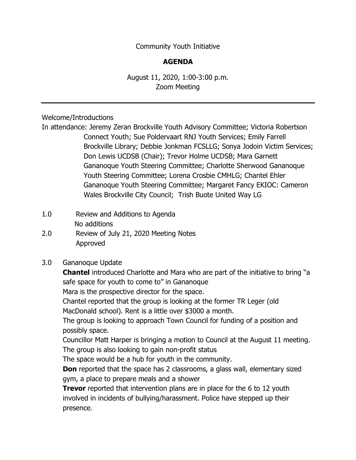Community Youth Initiative

## **AGENDA**

August 11, 2020, 1:00-3:00 p.m. Zoom Meeting

Welcome/Introductions

In attendance: Jeremy Zeran Brockville Youth Advisory Committee; Victoria Robertson Connect Youth; Sue Poldervaart RNJ Youth Services; Emily Farrell Brockville Library; Debbie Jonkman FCSLLG; Sonya Jodoin Victim Services; Don Lewis UCDSB (Chair); Trevor Holme UCDSB; Mara Garnett Gananoque Youth Steering Committee; Charlotte Sherwood Gananoque Youth Steering Committee; Lorena Crosbie CMHLG; Chantel Ehler Gananoque Youth Steering Committee; Margaret Fancy EKIOC: Cameron Wales Brockville City Council; Trish Buote United Way LG

- 1.0 Review and Additions to Agenda No additions
- 2.0 Review of July 21, 2020 Meeting Notes Approved

#### 3.0 Gananoque Update

**Chantel** introduced Charlotte and Mara who are part of the initiative to bring "a safe space for youth to come to" in Gananoque

Mara is the prospective director for the space.

Chantel reported that the group is looking at the former TR Leger (old MacDonald school). Rent is a little over \$3000 a month.

The group is looking to approach Town Council for funding of a position and possibly space.

Councillor Matt Harper is bringing a motion to Council at the August 11 meeting. The group is also looking to gain non-profit status

The space would be a hub for youth in the community.

**Don** reported that the space has 2 classrooms, a glass wall, elementary sized gym, a place to prepare meals and a shower

**Trevor** reported that intervention plans are in place for the 6 to 12 youth involved in incidents of bullying/harassment. Police have stepped up their presence.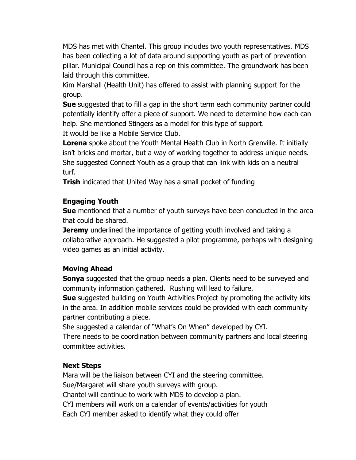MDS has met with Chantel. This group includes two youth representatives. MDS has been collecting a lot of data around supporting youth as part of prevention pillar. Municipal Council has a rep on this committee. The groundwork has been laid through this committee.

Kim Marshall (Health Unit) has offered to assist with planning support for the group.

**Sue** suggested that to fill a gap in the short term each community partner could potentially identify offer a piece of support. We need to determine how each can help. She mentioned Stingers as a model for this type of support.

It would be like a Mobile Service Club.

**Lorena** spoke about the Youth Mental Health Club in North Grenville. It initially isn't bricks and mortar, but a way of working together to address unique needs. She suggested Connect Youth as a group that can link with kids on a neutral turf.

**Trish** indicated that United Way has a small pocket of funding

# **Engaging Youth**

**Sue** mentioned that a number of youth surveys have been conducted in the area that could be shared.

**Jeremy** underlined the importance of getting youth involved and taking a collaborative approach. He suggested a pilot programme, perhaps with designing video games as an initial activity.

## **Moving Ahead**

**Sonya** suggested that the group needs a plan. Clients need to be surveyed and community information gathered. Rushing will lead to failure.

**Sue** suggested building on Youth Activities Project by promoting the activity kits in the area. In addition mobile services could be provided with each community partner contributing a piece.

She suggested a calendar of "What's On When" developed by CYI.

There needs to be coordination between community partners and local steering committee activities.

## **Next Steps**

Mara will be the liaison between CYI and the steering committee. Sue/Margaret will share youth surveys with group. Chantel will continue to work with MDS to develop a plan. CYI members will work on a calendar of events/activities for youth Each CYI member asked to identify what they could offer